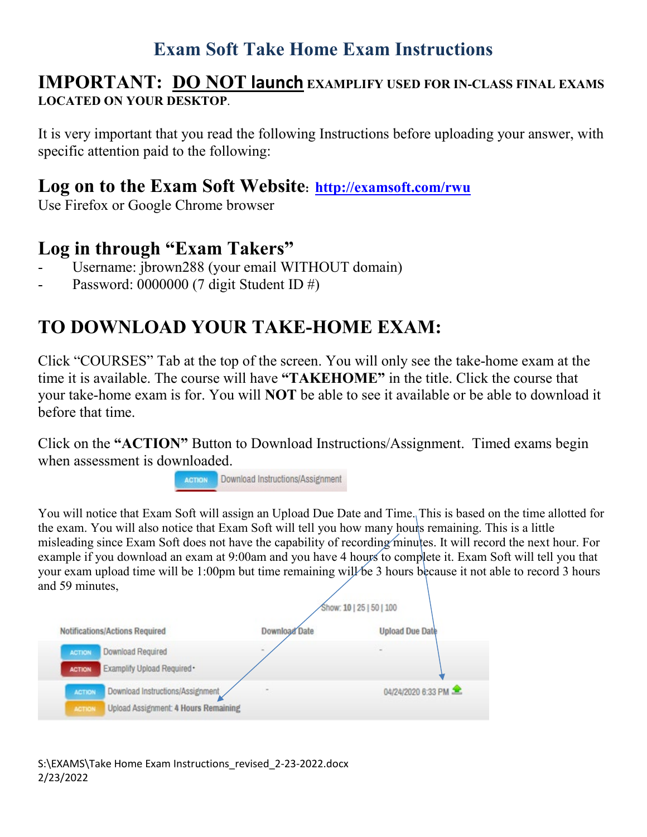## **Exam Soft Take Home Exam Instructions**

#### **IMPORTANT: DO NOT launch EXAMPLIFY USED FOR IN-CLASS FINAL EXAMS LOCATED ON YOUR DESKTOP**.

It is very important that you read the following Instructions before uploading your answer, with specific attention paid to the following:

### **Log on to the Exam Soft Website: <http://examsoft.com/rwu>**

Use Firefox or Google Chrome browser

### **Log in through "Exam Takers"**

- Username: jbrown288 (your email WITHOUT domain)
- Password: 0000000 (7 digit Student ID  $#$ )

# **TO DOWNLOAD YOUR TAKE-HOME EXAM:**

Click "COURSES" Tab at the top of the screen. You will only see the take-home exam at the time it is available. The course will have **"TAKEHOME"** in the title. Click the course that your take-home exam is for. You will **NOT** be able to see it available or be able to download it before that time.

Click on the **"ACTION"** Button to Download Instructions/Assignment. Timed exams begin when assessment is downloaded.



You will notice that Exam Soft will assign an Upload Due Date and Time. This is based on the time allotted for the exam. You will also notice that Exam Soft will tell you how many hours remaining. This is a little misleading since Exam Soft does not have the capability of recording minutes. It will record the next hour. For example if you download an exam at 9:00am and you have 4 hours to complete it. Exam Soft will tell you that your exam upload time will be 1:00pm but time remaining will be 3 hours because it not able to record 3 hours and 59 minutes,

| anu <i>o m</i> innaios,                                                                                           | Show: 10   25   50   100 |                        |
|-------------------------------------------------------------------------------------------------------------------|--------------------------|------------------------|
| Notifications/Actions Required                                                                                    | Download Date            | <b>Upload Due Date</b> |
| Download Required<br><b>ACTION</b><br>Examplify Upload Required *<br><b>ACTION</b>                                |                          |                        |
| Download Instructions/Assignment<br><b>ACTION</b><br><b>Upload Assignment: 4 Hours Remaining</b><br><b>ACTION</b> |                          | 04/24/2020 6:33 PM     |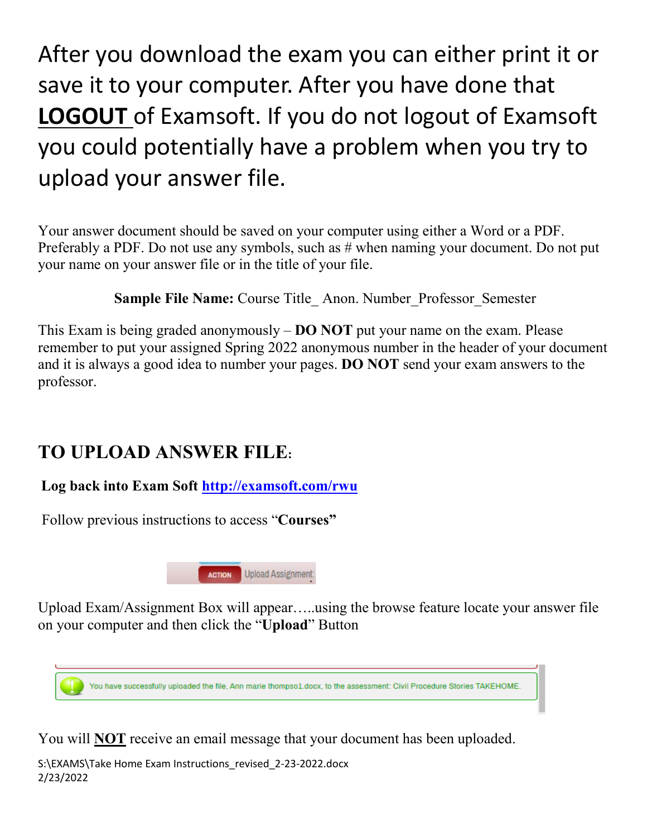After you download the exam you can either print it or save it to your computer. After you have done that **LOGOUT** of Examsoft. If you do not logout of Examsoft you could potentially have a problem when you try to upload your answer file.

Your answer document should be saved on your computer using either a Word or a PDF. Preferably a PDF. Do not use any symbols, such as # when naming your document. Do not put your name on your answer file or in the title of your file.

**Sample File Name:** Course Title Anon. Number Professor Semester

This Exam is being graded anonymously – **DO NOT** put your name on the exam. Please remember to put your assigned Spring 2022 anonymous number in the header of your document and it is always a good idea to number your pages. **DO NOT** send your exam answers to the professor.

## **TO UPLOAD ANSWER FILE:**

**Log back into Exam Soft<http://examsoft.com/rwu>**

Follow previous instructions to access "**Courses"** 



Upload Exam/Assignment Box will appear…..using the browse feature locate your answer file on your computer and then click the "**Upload**" Button



You will **NOT** receive an email message that your document has been uploaded.